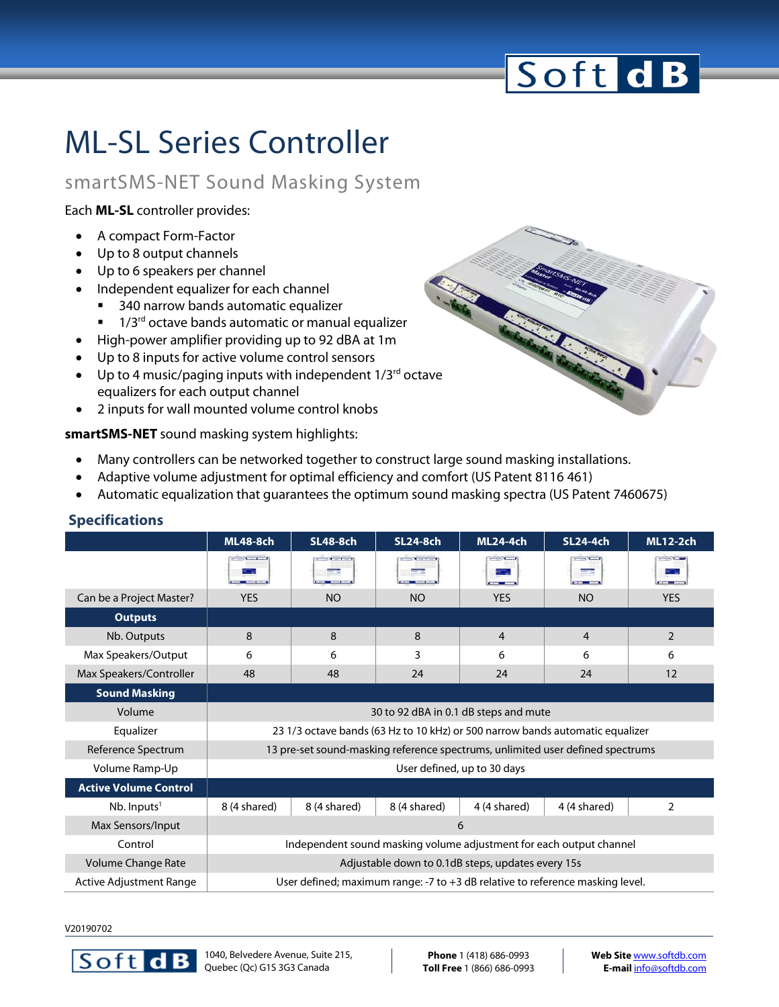# Soft dB

### ML-SL Series Controller

### smartSMS-NET Sound Masking System

Each **ML-SL** controller provides:

- A compact Form-Factor
- Up to 8 output channels
- Up to 6 speakers per channel
- Independent equalizer for each channel
	- 340 narrow bands automatic equalizer
	- $\blacksquare$  1/3<sup>rd</sup> octave bands automatic or manual equalizer
- High-power amplifier providing up to 92 dBA at 1m
- Up to 8 inputs for active volume control sensors
- Up to 4 music/paging inputs with independent  $1/3^{rd}$  octave equalizers for each output channel
- 2 inputs for wall mounted volume control knobs

#### **smartSMS-NET** sound masking system highlights:

- Many controllers can be networked together to construct large sound masking installations.
- Adaptive volume adjustment for optimal efficiency and comfort (US Patent 8116 461)
- Automatic equalization that guarantees the optimum sound masking spectra (US Patent 7460675)

|                              | <b>ML48-8ch</b>                                                                | <b>SL48-8ch</b> | <b>SL24-8ch</b> | <b>ML24-4ch</b> | <b>SL24-4ch</b> | <b>ML12-2ch</b> |  |  |
|------------------------------|--------------------------------------------------------------------------------|-----------------|-----------------|-----------------|-----------------|-----------------|--|--|
|                              | 2.7777777                                                                      | $x = 1$         |                 | $-1$            | $-1$            | $-11.0$         |  |  |
| Can be a Project Master?     | <b>YES</b>                                                                     | <b>NO</b>       | <b>NO</b>       | <b>YES</b>      | <b>NO</b>       | <b>YES</b>      |  |  |
| <b>Outputs</b>               |                                                                                |                 |                 |                 |                 |                 |  |  |
| Nb. Outputs                  | 8                                                                              | 8               | 8               | 4               | 4               | $\overline{2}$  |  |  |
| Max Speakers/Output          | 6                                                                              | 6               | 3               | 6               | 6               | 6               |  |  |
| Max Speakers/Controller      | 48                                                                             | 48              | 24              | 24              | 24              | 12              |  |  |
| <b>Sound Masking</b>         |                                                                                |                 |                 |                 |                 |                 |  |  |
| Volume                       | 30 to 92 dBA in 0.1 dB steps and mute                                          |                 |                 |                 |                 |                 |  |  |
| Equalizer                    | 23 1/3 octave bands (63 Hz to 10 kHz) or 500 narrow bands automatic equalizer  |                 |                 |                 |                 |                 |  |  |
| Reference Spectrum           | 13 pre-set sound-masking reference spectrums, unlimited user defined spectrums |                 |                 |                 |                 |                 |  |  |
| Volume Ramp-Up               | User defined, up to 30 days                                                    |                 |                 |                 |                 |                 |  |  |
| <b>Active Volume Control</b> |                                                                                |                 |                 |                 |                 |                 |  |  |
| $Nb.$ Inputs <sup>1</sup>    | 8 (4 shared)                                                                   | 8 (4 shared)    | 8 (4 shared)    | 4 (4 shared)    | 4 (4 shared)    | $\overline{2}$  |  |  |
| Max Sensors/Input            | 6                                                                              |                 |                 |                 |                 |                 |  |  |
| Control                      | Independent sound masking volume adjustment for each output channel            |                 |                 |                 |                 |                 |  |  |
| Volume Change Rate           | Adjustable down to 0.1dB steps, updates every 15s                              |                 |                 |                 |                 |                 |  |  |
| Active Adjustment Range      | User defined; maximum range: -7 to +3 dB relative to reference masking level.  |                 |                 |                 |                 |                 |  |  |

#### **Specifications**

V20190702



**Phone** 1 (418) 686-0993 **Toll Free** 1 (866) 686-0993 **Web Site** [www.softdb.com](http://www.softdb.com/) **E-mail** [info@softdb.com](mailto:contact@softdb.com)